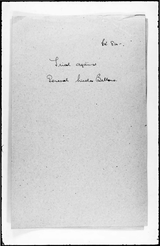62.84 -. Sinal against Peneral hicola Bellano.